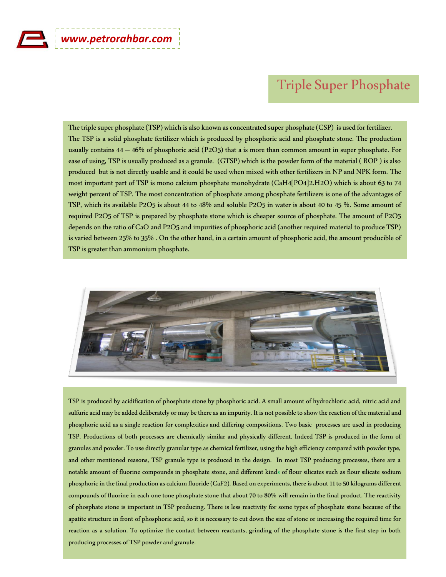## Triple Super Phosphate

The triple super phosphate (TSP) which is also known as concentrated super phosphate (CSP) is used for fertilizer. The TSP is a solid phosphate fertilizer which is produced by phosphoric acid and phosphate stone. The production usually contains 44 – 46% of phosphoric acid (P2O5) that a is more than common amount in super phosphate. For ease of using, TSP is usually produced as a granule. (GTSP) which is the powder form of the material ( ROP ) is also produced but is not directly usable and it could be used when mixed with other fertilizers in NP and NPK form. The most important part of TSP is mono calcium phosphate monohydrate (CaH4[PO4]2.H2O) which is about 63 to 74 weight percent of TSP. The most concentration of phosphate among phosphate fertilizers is one of the advantages of TSP, which its available P2O5 is about 44 to 48% and soluble P2O5 in water is about 40 to 45 %. Some amount of required P2O5 of TSP is prepared by phosphate stone which is cheaper source of phosphate. The amount of P2O5 depends on the ratio of CaO and P2O5 and impurities of phosphoric acid (another required material to produce TSP) is varied between 25% to 35% . On the other hand, in a certain amount of phosphoric acid, the amount producible of TSP is greater than ammonium phosphate.



TSP is produced by acidification of phosphate stone by phosphoric acid. A small amount of hydrochloric acid, nitric acid and sulfuric acid may be added deliberately or may be there as an impurity. It is not possible to show the reaction of the material and phosphoric acid as a single reaction for complexities and differing compositions. Two basic processes are used in producing TSP. Productions of both processes are chemically similar and physically different. Indeed TSP is produced in the form of granules and powder. To use directly granular type as chemical fertilizer, using the high efficiency compared with powder type, and other mentioned reasons, TSP granule type is produced in the design. In most TSP producing processes, there are a notable amount of fluorine compounds in phosphate stone, and different kinds of flour silicates such as flour silicate sodium phosphoric in the final production as calcium fluoride (CaF2). Based on experiments, there is about 11 to 50 kilograms different compounds of fluorine in each one tone phosphate stone that about 70 to 80% will remain in the final product. The reactivity of phosphate stone is important in TSP producing. There is less reactivity for some types of phosphate stone because of the apatite structure in front of phosphoric acid, so it is necessary to cut down the size of stone or increasing the required time for reaction as a solution. To optimize the contact between reactants, grinding of the phosphate stone is the first step in both producing processes of TSP powder and granule.